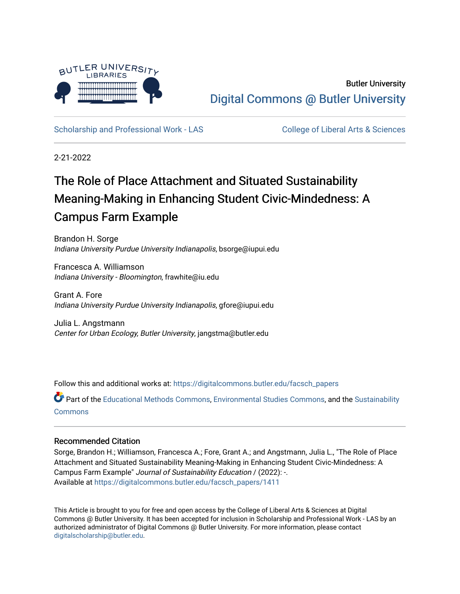

Butler University [Digital Commons @ Butler University](https://digitalcommons.butler.edu/) 

[Scholarship and Professional Work - LAS](https://digitalcommons.butler.edu/facsch_papers) College of Liberal Arts & Sciences

2-21-2022

# The Role of Place Attachment and Situated Sustainability Meaning-Making in Enhancing Student Civic-Mindedness: A Campus Farm Example

Brandon H. Sorge Indiana University Purdue University Indianapolis, bsorge@iupui.edu

Francesca A. Williamson Indiana University - Bloomington, frawhite@iu.edu

Grant A. Fore Indiana University Purdue University Indianapolis, gfore@iupui.edu

Julia L. Angstmann Center for Urban Ecology, Butler University, jangstma@butler.edu

Follow this and additional works at: [https://digitalcommons.butler.edu/facsch\\_papers](https://digitalcommons.butler.edu/facsch_papers?utm_source=digitalcommons.butler.edu%2Ffacsch_papers%2F1411&utm_medium=PDF&utm_campaign=PDFCoverPages)

Part of the [Educational Methods Commons,](https://network.bepress.com/hgg/discipline/1227?utm_source=digitalcommons.butler.edu%2Ffacsch_papers%2F1411&utm_medium=PDF&utm_campaign=PDFCoverPages) [Environmental Studies Commons](https://network.bepress.com/hgg/discipline/1333?utm_source=digitalcommons.butler.edu%2Ffacsch_papers%2F1411&utm_medium=PDF&utm_campaign=PDFCoverPages), and the Sustainability **[Commons](https://network.bepress.com/hgg/discipline/1031?utm_source=digitalcommons.butler.edu%2Ffacsch_papers%2F1411&utm_medium=PDF&utm_campaign=PDFCoverPages)** 

#### Recommended Citation

Sorge, Brandon H.; Williamson, Francesca A.; Fore, Grant A.; and Angstmann, Julia L., "The Role of Place Attachment and Situated Sustainability Meaning-Making in Enhancing Student Civic-Mindedness: A Campus Farm Example" Journal of Sustainability Education / (2022): -. Available at [https://digitalcommons.butler.edu/facsch\\_papers/1411](https://digitalcommons.butler.edu/facsch_papers/1411?utm_source=digitalcommons.butler.edu%2Ffacsch_papers%2F1411&utm_medium=PDF&utm_campaign=PDFCoverPages) 

This Article is brought to you for free and open access by the College of Liberal Arts & Sciences at Digital Commons @ Butler University. It has been accepted for inclusion in Scholarship and Professional Work - LAS by an authorized administrator of Digital Commons @ Butler University. For more information, please contact [digitalscholarship@butler.edu.](mailto:digitalscholarship@butler.edu)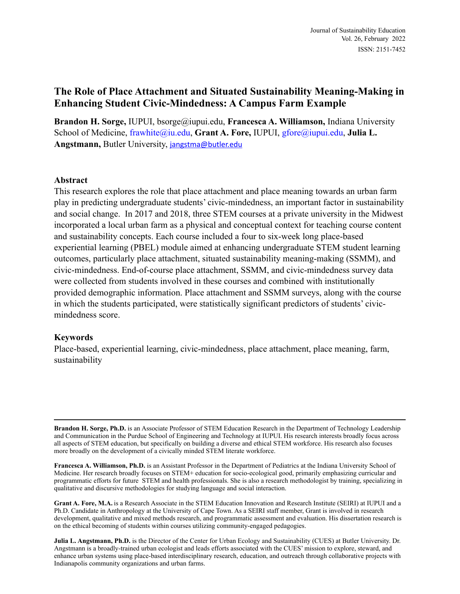## **The Role of Place Attachment and Situated Sustainability Meaning-Making in Enhancing Student Civic-Mindedness: A Campus Farm Example**

**Brandon H. Sorge,** IUPUI, bsorge@iupui.edu, **Francesca A. Williamson,** Indiana University School of Medicine, [frawhite@iu.edu](mailto:frawhite@iu.edu), Grant A. Fore, IUPUI, [gfore@iupui.edu,](mailto:gfore@iupui.edu) Julia L. **Angstmann,** Butler University, [jangstma@butler.edu](mailto:jangstma@butler.edu)

#### **Abstract**

This research explores the role that place attachment and place meaning towards an urban farm play in predicting undergraduate students' civic-mindedness, an important factor in sustainability and social change. In 2017 and 2018, three STEM courses at a private university in the Midwest incorporated a local urban farm as a physical and conceptual context for teaching course content and sustainability concepts. Each course included a four to six-week long place-based experiential learning (PBEL) module aimed at enhancing undergraduate STEM student learning outcomes, particularly place attachment, situated sustainability meaning-making (SSMM), and civic-mindedness. End-of-course place attachment, SSMM, and civic-mindedness survey data were collected from students involved in these courses and combined with institutionally provided demographic information. Place attachment and SSMM surveys, along with the course in which the students participated, were statistically significant predictors of students' civicmindedness score.

#### **Keywords**

Place-based, experiential learning, civic-mindedness, place attachment, place meaning, farm, sustainability

**Brandon H. Sorge, Ph.D.** is an Associate Professor of STEM Education Research in the Department of Technology Leadership and Communication in the Purdue School of Engineering and Technology at IUPUI. His research interests broadly focus across all aspects of STEM education, but specifically on building a diverse and ethical STEM workforce. His research also focuses more broadly on the development of a civically minded STEM literate workforce.

**Francesca A. Williamson, Ph.D.** is an Assistant Professor in the Department of Pediatrics at the Indiana University School of Medicine. Her research broadly focuses on STEM+ education for socio-ecological good, primarily emphasizing curricular and programmatic efforts for future STEM and health professionals. She is also a research methodologist by training, specializing in qualitative and discursive methodologies for studying language and social interaction.

**Grant A. Fore, M.A.** is a Research Associate in the STEM Education Innovation and Research Institute (SEIRI) at IUPUI and a Ph.D. Candidate in Anthropology at the University of Cape Town. As a SEIRI staff member, Grant is involved in research development, qualitative and mixed methods research, and programmatic assessment and evaluation. His dissertation research is on the ethical becoming of students within courses utilizing community-engaged pedagogies.

**Julia L. Angstmann, Ph.D.** is the Director of the Center for Urban Ecology and Sustainability (CUES) at Butler University. Dr. Angstmann is a broadly-trained urban ecologist and leads efforts associated with the CUES' mission to explore, steward, and enhance urban systems using place-based interdisciplinary research, education, and outreach through collaborative projects with Indianapolis community organizations and urban farms.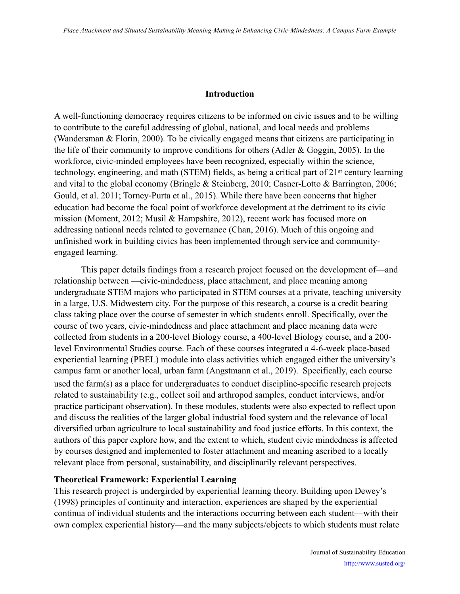#### **Introduction**

A well-functioning democracy requires citizens to be informed on civic issues and to be willing to contribute to the careful addressing of global, national, and local needs and problems (Wandersman & Florin, 2000). To be civically engaged means that citizens are participating in the life of their community to improve conditions for others (Adler & Goggin, 2005). In the workforce, civic-minded employees have been recognized, especially within the science, technology, engineering, and math (STEM) fields, as being a critical part of 21st century learning and vital to the global economy (Bringle & Steinberg, 2010; Casner-Lotto & Barrington, 2006; Gould, et al. 2011; Torney-Purta et al., 2015). While there have been concerns that higher education had become the focal point of workforce development at the detriment to its civic mission (Moment, 2012; Musil & Hampshire, 2012), recent work has focused more on addressing national needs related to governance (Chan, 2016). Much of this ongoing and unfinished work in building civics has been implemented through service and communityengaged learning.

This paper details findings from a research project focused on the development of—and relationship between —civic-mindedness, place attachment, and place meaning among undergraduate STEM majors who participated in STEM courses at a private, teaching university in a large, U.S. Midwestern city. For the purpose of this research, a course is a credit bearing class taking place over the course of semester in which students enroll. Specifically, over the course of two years, civic-mindedness and place attachment and place meaning data were collected from students in a 200-level Biology course, a 400-level Biology course, and a 200 level Environmental Studies course. Each of these courses integrated a 4-6-week place-based experiential learning (PBEL) module into class activities which engaged either the university's campus farm or another local, urban farm (Angstmann et al., 2019). Specifically, each course used the farm(s) as a place for undergraduates to conduct discipline-specific research projects related to sustainability (e.g., collect soil and arthropod samples, conduct interviews, and/or practice participant observation). In these modules, students were also expected to reflect upon and discuss the realities of the larger global industrial food system and the relevance of local diversified urban agriculture to local sustainability and food justice efforts. In this context, the authors of this paper explore how, and the extent to which, student civic mindedness is affected by courses designed and implemented to foster attachment and meaning ascribed to a locally relevant place from personal, sustainability, and disciplinarily relevant perspectives.

#### **Theoretical Framework: Experiential Learning**

This research project is undergirded by experiential learning theory. Building upon Dewey's (1998) principles of continuity and interaction, experiences are shaped by the experiential continua of individual students and the interactions occurring between each student—with their own complex experiential history—and the many subjects/objects to which students must relate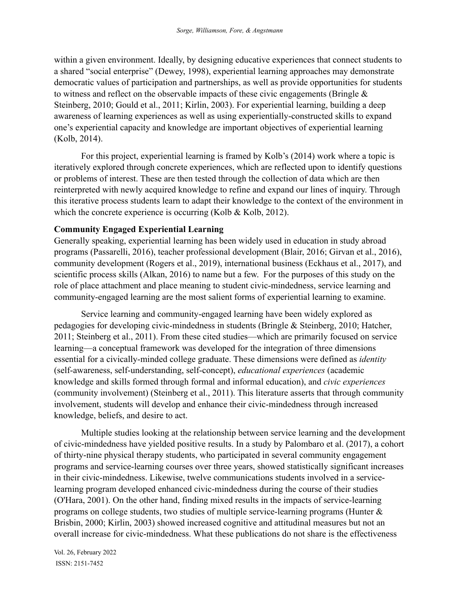within a given environment. Ideally, by designing educative experiences that connect students to a shared "social enterprise" (Dewey, 1998), experiential learning approaches may demonstrate democratic values of participation and partnerships, as well as provide opportunities for students to witness and reflect on the observable impacts of these civic engagements (Bringle  $\&$ Steinberg, 2010; Gould et al., 2011; Kirlin, 2003). For experiential learning, building a deep awareness of learning experiences as well as using experientially-constructed skills to expand one's experiential capacity and knowledge are important objectives of experiential learning (Kolb, 2014).

For this project, experiential learning is framed by Kolb's (2014) work where a topic is iteratively explored through concrete experiences, which are reflected upon to identify questions or problems of interest. These are then tested through the collection of data which are then reinterpreted with newly acquired knowledge to refine and expand our lines of inquiry. Through this iterative process students learn to adapt their knowledge to the context of the environment in which the concrete experience is occurring (Kolb & Kolb, 2012).

#### **Community Engaged Experiential Learning**

Generally speaking, experiential learning has been widely used in education in study abroad programs (Passarelli, 2016), teacher professional development (Blair, 2016; Girvan et al., 2016), community development (Rogers et al., 2019), international business (Eckhaus et al., 2017), and scientific process skills (Alkan, 2016) to name but a few. For the purposes of this study on the role of place attachment and place meaning to student civic-mindedness, service learning and community-engaged learning are the most salient forms of experiential learning to examine.

Service learning and community-engaged learning have been widely explored as pedagogies for developing civic-mindedness in students (Bringle & Steinberg, 2010; Hatcher, 2011; Steinberg et al., 2011). From these cited studies—which are primarily focused on service learning—a conceptual framework was developed for the integration of three dimensions essential for a civically-minded college graduate. These dimensions were defined as *identity* (self-awareness, self-understanding, self-concept), *educational experiences* (academic knowledge and skills formed through formal and informal education), and *civic experiences* (community involvement) (Steinberg et al., 2011). This literature asserts that through community involvement, students will develop and enhance their civic-mindedness through increased knowledge, beliefs, and desire to act.

Multiple studies looking at the relationship between service learning and the development of civic-mindedness have yielded positive results. In a study by Palombaro et al. (2017), a cohort of thirty-nine physical therapy students, who participated in several community engagement programs and service-learning courses over three years, showed statistically significant increases in their civic-mindedness. Likewise, twelve communications students involved in a servicelearning program developed enhanced civic-mindedness during the course of their studies (O'Hara, 2001). On the other hand, finding mixed results in the impacts of service-learning programs on college students, two studies of multiple service-learning programs (Hunter & Brisbin, 2000; Kirlin, 2003) showed increased cognitive and attitudinal measures but not an overall increase for civic-mindedness. What these publications do not share is the effectiveness

Vol. 26, February 2022 ISSN: 2151-7452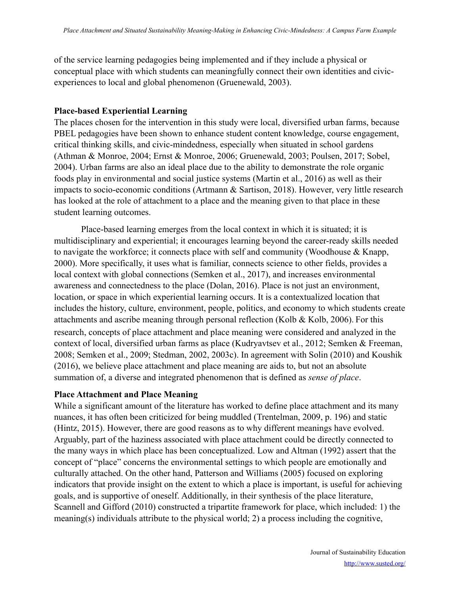of the service learning pedagogies being implemented and if they include a physical or conceptual place with which students can meaningfully connect their own identities and civicexperiences to local and global phenomenon (Gruenewald, 2003).

#### **Place-based Experiential Learning**

The places chosen for the intervention in this study were local, diversified urban farms, because PBEL pedagogies have been shown to enhance student content knowledge, course engagement, critical thinking skills, and civic-mindedness, especially when situated in school gardens (Athman & Monroe, 2004; Ernst & Monroe, 2006; Gruenewald, 2003; Poulsen, 2017; Sobel, 2004). Urban farms are also an ideal place due to the ability to demonstrate the role organic foods play in environmental and social justice systems (Martin et al., 2016) as well as their impacts to socio-economic conditions (Artmann & Sartison, 2018). However, very little research has looked at the role of attachment to a place and the meaning given to that place in these student learning outcomes.

Place-based learning emerges from the local context in which it is situated; it is multidisciplinary and experiential; it encourages learning beyond the career-ready skills needed to navigate the workforce; it connects place with self and community (Woodhouse & Knapp, 2000). More specifically, it uses what is familiar, connects science to other fields, provides a local context with global connections (Semken et al., 2017), and increases environmental awareness and connectedness to the place (Dolan, 2016). Place is not just an environment, location, or space in which experiential learning occurs. It is a contextualized location that includes the history, culture, environment, people, politics, and economy to which students create attachments and ascribe meaning through personal reflection (Kolb & Kolb, 2006). For this research, concepts of place attachment and place meaning were considered and analyzed in the context of local, diversified urban farms as place (Kudryavtsev et al., 2012; Semken & Freeman, 2008; Semken et al., 2009; Stedman, 2002, 2003c). In agreement with Solin (2010) and Koushik (2016), we believe place attachment and place meaning are aids to, but not an absolute summation of, a diverse and integrated phenomenon that is defined as *sense of place*.

#### **Place Attachment and Place Meaning**

While a significant amount of the literature has worked to define place attachment and its many nuances, it has often been criticized for being muddled (Trentelman, 2009, p. 196) and static (Hintz, 2015). However, there are good reasons as to why different meanings have evolved. Arguably, part of the haziness associated with place attachment could be directly connected to the many ways in which place has been conceptualized. Low and Altman (1992) assert that the concept of "place" concerns the environmental settings to which people are emotionally and culturally attached. On the other hand, Patterson and Williams (2005) focused on exploring indicators that provide insight on the extent to which a place is important, is useful for achieving goals, and is supportive of oneself. Additionally, in their synthesis of the place literature, Scannell and Gifford (2010) constructed a tripartite framework for place, which included: 1) the meaning(s) individuals attribute to the physical world; 2) a process including the cognitive,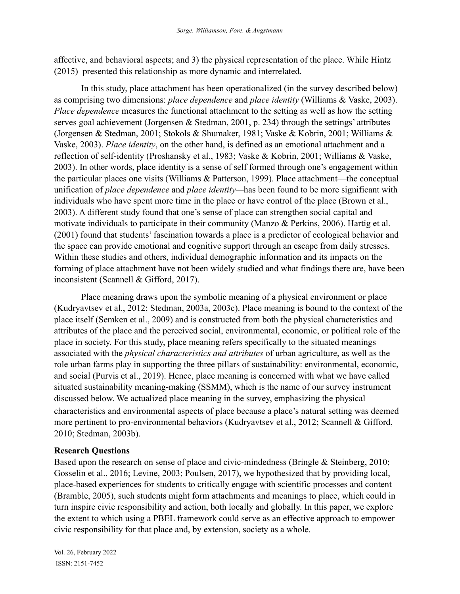affective, and behavioral aspects; and 3) the physical representation of the place. While Hintz (2015) presented this relationship as more dynamic and interrelated.

In this study, place attachment has been operationalized (in the survey described below) as comprising two dimensions: *place dependence* and *place identity* (Williams & Vaske, 2003). *Place dependence* measures the functional attachment to the setting as well as how the setting serves goal achievement (Jorgensen & Stedman, 2001, p. 234) through the settings' attributes (Jorgensen & Stedman, 2001; Stokols & Shumaker, 1981; Vaske & Kobrin, 2001; Williams & Vaske, 2003). *Place identity*, on the other hand, is defined as an emotional attachment and a reflection of self-identity (Proshansky et al., 1983; Vaske & Kobrin, 2001; Williams & Vaske, 2003). In other words, place identity is a sense of self formed through one's engagement within the particular places one visits (Williams & Patterson, 1999). Place attachment—the conceptual unification of *place dependence* and *place identity—*has been found to be more significant with individuals who have spent more time in the place or have control of the place (Brown et al., 2003). A different study found that one's sense of place can strengthen social capital and motivate individuals to participate in their community (Manzo & Perkins, 2006). Hartig et al. (2001) found that students' fascination towards a place is a predictor of ecological behavior and the space can provide emotional and cognitive support through an escape from daily stresses. Within these studies and others, individual demographic information and its impacts on the forming of place attachment have not been widely studied and what findings there are, have been inconsistent (Scannell & Gifford, 2017).

Place meaning draws upon the symbolic meaning of a physical environment or place (Kudryavtsev et al., 2012; Stedman, 2003a, 2003c). Place meaning is bound to the context of the place itself (Semken et al., 2009) and is constructed from both the physical characteristics and attributes of the place and the perceived social, environmental, economic, or political role of the place in society. For this study, place meaning refers specifically to the situated meanings associated with the *physical characteristics and attributes* of urban agriculture, as well as the role urban farms play in supporting the three pillars of sustainability: environmental, economic, and social (Purvis et al., 2019). Hence, place meaning is concerned with what we have called situated sustainability meaning-making (SSMM), which is the name of our survey instrument discussed below. We actualized place meaning in the survey, emphasizing the physical characteristics and environmental aspects of place because a place's natural setting was deemed more pertinent to pro-environmental behaviors (Kudryavtsev et al., 2012; Scannell & Gifford, 2010; Stedman, 2003b).

## **Research Questions**

Based upon the research on sense of place and civic-mindedness (Bringle & Steinberg, 2010; Gosselin et al., 2016; Levine, 2003; Poulsen, 2017), we hypothesized that by providing local, place-based experiences for students to critically engage with scientific processes and content (Bramble, 2005), such students might form attachments and meanings to place, which could in turn inspire civic responsibility and action, both locally and globally. In this paper, we explore the extent to which using a PBEL framework could serve as an effective approach to empower civic responsibility for that place and, by extension, society as a whole.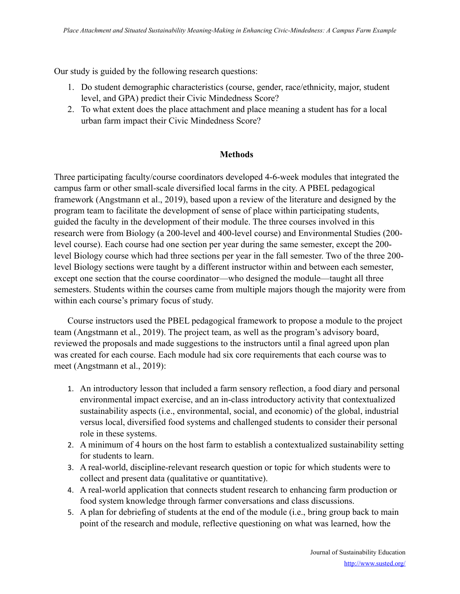Our study is guided by the following research questions:

- 1. Do student demographic characteristics (course, gender, race/ethnicity, major, student level, and GPA) predict their Civic Mindedness Score?
- 2. To what extent does the place attachment and place meaning a student has for a local urban farm impact their Civic Mindedness Score?

## **Methods**

Three participating faculty/course coordinators developed 4-6-week modules that integrated the campus farm or other small-scale diversified local farms in the city. A PBEL pedagogical framework (Angstmann et al., 2019), based upon a review of the literature and designed by the program team to facilitate the development of sense of place within participating students, guided the faculty in the development of their module. The three courses involved in this research were from Biology (a 200-level and 400-level course) and Environmental Studies (200 level course). Each course had one section per year during the same semester, except the 200 level Biology course which had three sections per year in the fall semester. Two of the three 200 level Biology sections were taught by a different instructor within and between each semester, except one section that the course coordinator—who designed the module—taught all three semesters. Students within the courses came from multiple majors though the majority were from within each course's primary focus of study.

Course instructors used the PBEL pedagogical framework to propose a module to the project team (Angstmann et al., 2019). The project team, as well as the program's advisory board, reviewed the proposals and made suggestions to the instructors until a final agreed upon plan was created for each course. Each module had six core requirements that each course was to meet (Angstmann et al., 2019):

- 1. An introductory lesson that included a farm sensory reflection, a food diary and personal environmental impact exercise, and an in-class introductory activity that contextualized sustainability aspects (i.e., environmental, social, and economic) of the global, industrial versus local, diversified food systems and challenged students to consider their personal role in these systems.
- 2. A minimum of 4 hours on the host farm to establish a contextualized sustainability setting for students to learn.
- 3. A real-world, discipline-relevant research question or topic for which students were to collect and present data (qualitative or quantitative).
- 4. A real-world application that connects student research to enhancing farm production or food system knowledge through farmer conversations and class discussions.
- 5. A plan for debriefing of students at the end of the module (i.e., bring group back to main point of the research and module, reflective questioning on what was learned, how the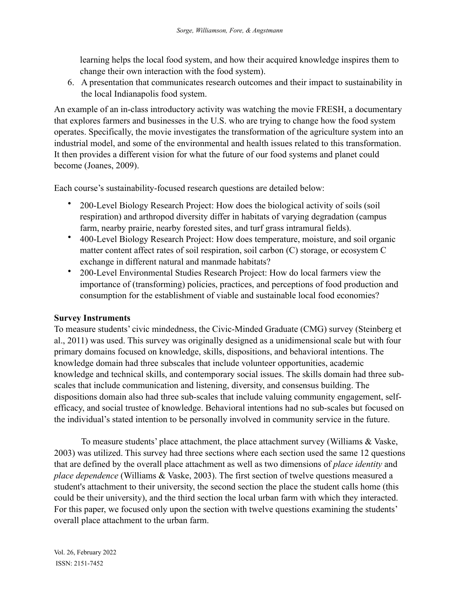learning helps the local food system, and how their acquired knowledge inspires them to change their own interaction with the food system).

6. A presentation that communicates research outcomes and their impact to sustainability in the local Indianapolis food system.

An example of an in-class introductory activity was watching the movie FRESH, a documentary that explores farmers and businesses in the U.S. who are trying to change how the food system operates. Specifically, the movie investigates the transformation of the agriculture system into an industrial model, and some of the environmental and health issues related to this transformation. It then provides a different vision for what the future of our food systems and planet could become (Joanes, 2009).

Each course's sustainability-focused research questions are detailed below:

- 200-Level Biology Research Project: How does the biological activity of soils (soil respiration) and arthropod diversity differ in habitats of varying degradation (campus farm, nearby prairie, nearby forested sites, and turf grass intramural fields).
- 400-Level Biology Research Project: How does temperature, moisture, and soil organic matter content affect rates of soil respiration, soil carbon (C) storage, or ecosystem C exchange in different natural and manmade habitats?
- 200-Level Environmental Studies Research Project: How do local farmers view the importance of (transforming) policies, practices, and perceptions of food production and consumption for the establishment of viable and sustainable local food economies?

## **Survey Instruments**

To measure students' civic mindedness, the Civic-Minded Graduate (CMG) survey (Steinberg et al., 2011) was used. This survey was originally designed as a unidimensional scale but with four primary domains focused on knowledge, skills, dispositions, and behavioral intentions. The knowledge domain had three subscales that include volunteer opportunities, academic knowledge and technical skills, and contemporary social issues. The skills domain had three subscales that include communication and listening, diversity, and consensus building. The dispositions domain also had three sub-scales that include valuing community engagement, selfefficacy, and social trustee of knowledge. Behavioral intentions had no sub-scales but focused on the individual's stated intention to be personally involved in community service in the future.

To measure students' place attachment, the place attachment survey (Williams & Vaske, 2003) was utilized. This survey had three sections where each section used the same 12 questions that are defined by the overall place attachment as well as two dimensions of *place identity* and *place dependence* (Williams & Vaske, 2003). The first section of twelve questions measured a student's attachment to their university, the second section the place the student calls home (this could be their university), and the third section the local urban farm with which they interacted. For this paper, we focused only upon the section with twelve questions examining the students' overall place attachment to the urban farm.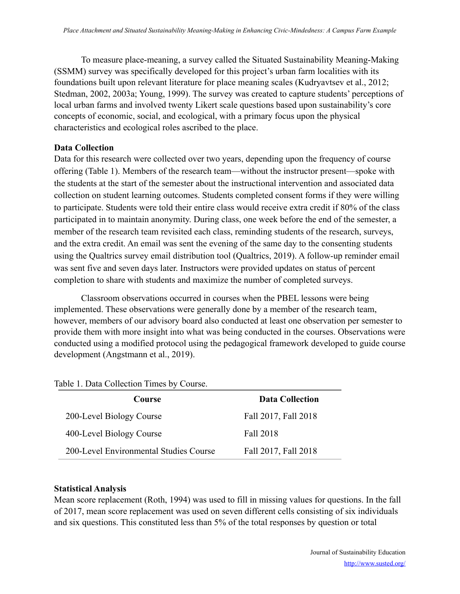To measure place-meaning, a survey called the Situated Sustainability Meaning-Making (SSMM) survey was specifically developed for this project's urban farm localities with its foundations built upon relevant literature for place meaning scales (Kudryavtsev et al., 2012; Stedman, 2002, 2003a; Young, 1999). The survey was created to capture students' perceptions of local urban farms and involved twenty Likert scale questions based upon sustainability's core concepts of economic, social, and ecological, with a primary focus upon the physical characteristics and ecological roles ascribed to the place.

#### **Data Collection**

Data for this research were collected over two years, depending upon the frequency of course offering (Table 1). Members of the research team—without the instructor present—spoke with the students at the start of the semester about the instructional intervention and associated data collection on student learning outcomes. Students completed consent forms if they were willing to participate. Students were told their entire class would receive extra credit if 80% of the class participated in to maintain anonymity. During class, one week before the end of the semester, a member of the research team revisited each class, reminding students of the research, surveys, and the extra credit. An email was sent the evening of the same day to the consenting students using the Qualtrics survey email distribution tool (Qualtrics, 2019). A follow-up reminder email was sent five and seven days later. Instructors were provided updates on status of percent completion to share with students and maximize the number of completed surveys.

Classroom observations occurred in courses when the PBEL lessons were being implemented. These observations were generally done by a member of the research team, however, members of our advisory board also conducted at least one observation per semester to provide them with more insight into what was being conducted in the courses. Observations were conducted using a modified protocol using the pedagogical framework developed to guide course development (Angstmann et al., 2019).

| Course                                 | <b>Data Collection</b> |
|----------------------------------------|------------------------|
| 200-Level Biology Course               | Fall 2017, Fall 2018   |
| 400-Level Biology Course               | Fall 2018              |
| 200-Level Environmental Studies Course | Fall 2017, Fall 2018   |

Table 1. Data Collection Times by Course.

## **Statistical Analysis**

Mean score replacement (Roth, 1994) was used to fill in missing values for questions. In the fall of 2017, mean score replacement was used on seven different cells consisting of six individuals and six questions. This constituted less than 5% of the total responses by question or total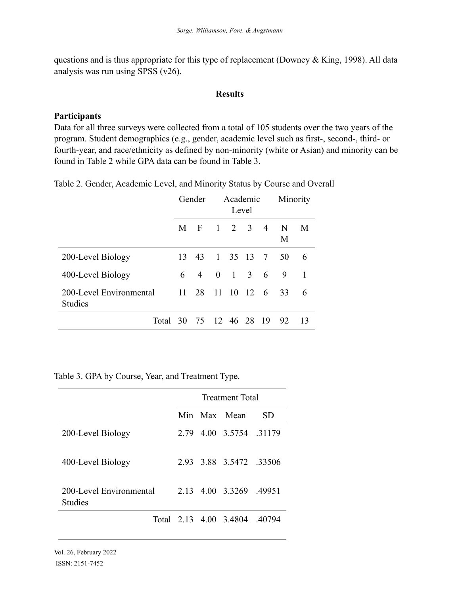questions and is thus appropriate for this type of replacement (Downey & King, 1998). All data analysis was run using SPSS (v26).

#### **Results**

## **Participants**

Data for all three surveys were collected from a total of 105 students over the two years of the program. Student demographics (e.g., gender, academic level such as first-, second-, third- or fourth-year, and race/ethnicity as defined by non-minority (white or Asian) and minority can be found in Table 2 while GPA data can be found in Table 3.

|                                           |    | Gender         | Academic<br>Level |             |  |               | Minority |              |
|-------------------------------------------|----|----------------|-------------------|-------------|--|---------------|----------|--------------|
|                                           | M  | - F            | $\pm$             | 2 3         |  | 4             | N<br>M   | M            |
| 200-Level Biology                         | 13 | 43             |                   |             |  | 1 35 13 7     | 50       | 6            |
| 400-Level Biology                         | 6  | $\overline{4}$ | $\theta$          | $1 \quad 3$ |  | 6             | 9        | $\mathbf{1}$ |
| 200-Level Environmental<br><b>Studies</b> | 11 | 28             | 11                |             |  | $10 \t12 \t6$ | 33       | 6            |
| Total 30 75 12 46 28 19                   |    |                |                   |             |  |               | -92      | -13          |

Table 2. Gender, Academic Level, and Minority Status by Course and Overall

Table 3. GPA by Course, Year, and Treatment Type.

|                                           | <b>Treatment Total</b> |  |                               |     |  |  |  |
|-------------------------------------------|------------------------|--|-------------------------------|-----|--|--|--|
|                                           |                        |  | Min Max Mean                  | SD. |  |  |  |
| 200-Level Biology                         | 2.79                   |  | 4.00 3.5754 .31179            |     |  |  |  |
| 400-Level Biology                         |                        |  | 293 388 35472 33506           |     |  |  |  |
| 200-Level Environmental<br><b>Studies</b> |                        |  | 2.13 4.00 3.3269 49951        |     |  |  |  |
|                                           |                        |  | Total 2.13 4.00 3.4804 .40794 |     |  |  |  |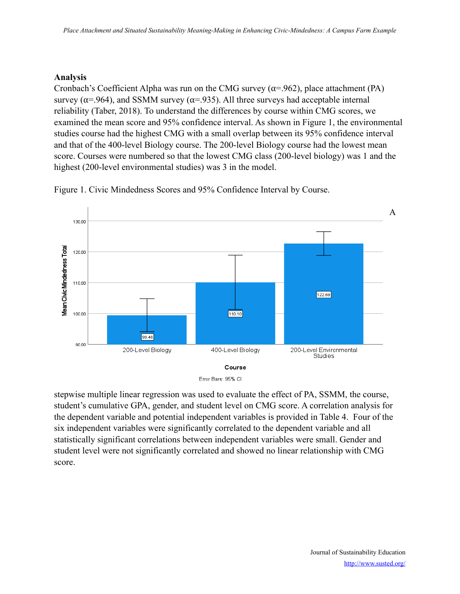## **Analysis**

Cronbach's Coefficient Alpha was run on the CMG survey ( $\alpha$ =.962), place attachment (PA) survey ( $\alpha$ =.964), and SSMM survey ( $\alpha$ =.935). All three surveys had acceptable internal reliability (Taber, 2018). To understand the differences by course within CMG scores, we examined the mean score and 95% confidence interval. As shown in Figure 1, the environmental studies course had the highest CMG with a small overlap between its 95% confidence interval and that of the 400-level Biology course. The 200-level Biology course had the lowest mean score. Courses were numbered so that the lowest CMG class (200-level biology) was 1 and the highest (200-level environmental studies) was 3 in the model.

A 130.00 Mean Civic Mindedness Tota 120.00 110.00 122.69  $110.10$ 100.00 99.46 90.00 200-Level Biology 400-Level Biology 200-Level Environmental Studies Course

Figure 1. Civic Mindedness Scores and 95% Confidence Interval by Course.



stepwise multiple linear regression was used to evaluate the effect of PA, SSMM, the course, student's cumulative GPA, gender, and student level on CMG score. A correlation analysis for the dependent variable and potential independent variables is provided in Table 4. Four of the six independent variables were significantly correlated to the dependent variable and all statistically significant correlations between independent variables were small. Gender and student level were not significantly correlated and showed no linear relationship with CMG score.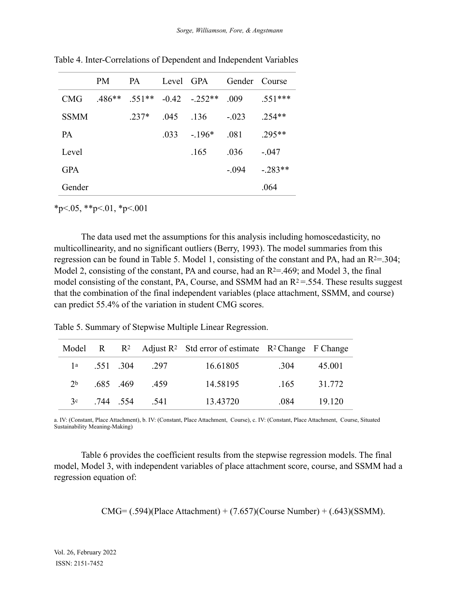|             | <b>PM</b> | <b>PA</b> |      | Level GPA       | Gender Course |            |
|-------------|-----------|-----------|------|-----------------|---------------|------------|
| <b>CMG</b>  | $486**$   | $551**$   |      | $-0.42 - 252**$ | .009          | $.551***$  |
| <b>SSMM</b> |           | $.237*$   | -045 | - 136           | $-.023$       | $.254**$   |
| <b>PA</b>   |           |           | -033 | $-196*$         | .081          | $.295**$   |
| Level       |           |           |      | -165            | .036          | $-.047$    |
| <b>GPA</b>  |           |           |      |                 | - 094         | $-0.283**$ |
| Gender      |           |           |      |                 |               | .064       |

Table 4. Inter-Correlations of Dependent and Independent Variables

 $*p<.05$ ,  $*p<.01$ ,  $*p<.001$ 

The data used met the assumptions for this analysis including homoscedasticity, no multicollinearity, and no significant outliers (Berry, 1993). The model summaries from this regression can be found in Table 5. Model 1, consisting of the constant and PA, had an  $R^{2} = 0.304$ ; Model 2, consisting of the constant, PA and course, had an  $R^{2} = 0.469$ ; and Model 3, the final model consisting of the constant, PA, Course, and SSMM had an  $R<sup>2</sup>=.554$ . These results suggest that the combination of the final independent variables (place attachment, SSMM, and course) can predict 55.4% of the variation in student CMG scores.

Table 5. Summary of Stepwise Multiple Linear Regression.

|                |          |                      | Model R $\rightarrow$ R <sup>2</sup> Adjust R <sup>2</sup> Std error of estimate R <sup>2</sup> Change F Change |      |        |
|----------------|----------|----------------------|-----------------------------------------------------------------------------------------------------------------|------|--------|
|                |          | $1^a$ .551 .304 .297 | 16.61805                                                                                                        | .304 | 45.001 |
| 2 <sub>b</sub> | .685.469 | 459                  | 14.58195                                                                                                        | .165 | 31.772 |
| 3c             | 744 554  | 541                  | 13.43720                                                                                                        | -084 | 19 120 |

a. IV: (Constant, Place Attachment), b. IV: (Constant, Place Attachment, Course), c. IV: (Constant, Place Attachment, Course, Situated Sustainability Meaning-Making)

Table 6 provides the coefficient results from the stepwise regression models. The final model, Model 3, with independent variables of place attachment score, course, and SSMM had a regression equation of:

$$
CMG = (.594)(Place Attachment) + (7.657)(Course Number) + (.643)(SSMM).
$$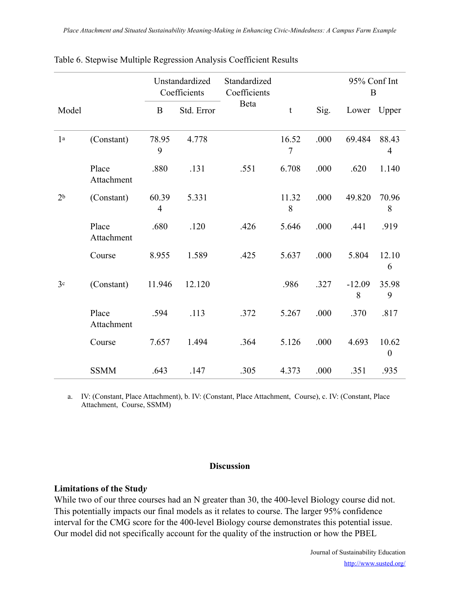|                |                     |                         | Unstandardized<br>Coefficients | Standardized<br>Coefficients |                         |      | 95% Conf Int<br>B |                           |
|----------------|---------------------|-------------------------|--------------------------------|------------------------------|-------------------------|------|-------------------|---------------------------|
| Model          |                     | $\bf{B}$                | Std. Error                     | Beta                         | $\mathbf t$             | Sig. | Lower             | Upper                     |
| 1 <sup>a</sup> | (Constant)          | 78.95<br>9              | 4.778                          |                              | 16.52<br>$\overline{7}$ | .000 | 69.484            | 88.43<br>$\overline{4}$   |
|                | Place<br>Attachment | .880                    | .131                           | .551                         | 6.708                   | .000 | .620              | 1.140                     |
| 2 <sub>b</sub> | (Constant)          | 60.39<br>$\overline{4}$ | 5.331                          |                              | 11.32<br>8              | .000 | 49.820            | 70.96<br>8                |
|                | Place<br>Attachment | .680                    | .120                           | .426                         | 5.646                   | .000 | .441              | .919                      |
|                | Course              | 8.955                   | 1.589                          | .425                         | 5.637                   | .000 | 5.804             | 12.10<br>6                |
| 3 <sup>c</sup> | (Constant)          | 11.946                  | 12.120                         |                              | .986                    | .327 | $-12.09$<br>8     | 35.98<br>9                |
|                | Place<br>Attachment | .594                    | .113                           | .372                         | 5.267                   | .000 | .370              | .817                      |
|                | Course              | 7.657                   | 1.494                          | .364                         | 5.126                   | .000 | 4.693             | 10.62<br>$\boldsymbol{0}$ |
|                | <b>SSMM</b>         | .643                    | .147                           | .305                         | 4.373                   | .000 | .351              | .935                      |

|  |  |  |  |  | Table 6. Stepwise Multiple Regression Analysis Coefficient Results |
|--|--|--|--|--|--------------------------------------------------------------------|
|  |  |  |  |  |                                                                    |
|  |  |  |  |  |                                                                    |

a. IV: (Constant, Place Attachment), b. IV: (Constant, Place Attachment, Course), c. IV: (Constant, Place Attachment, Course, SSMM)

## **Discussion**

## **Limitations of the Stud***y*

While two of our three courses had an N greater than 30, the 400-level Biology course did not. This potentially impacts our final models as it relates to course. The larger 95% confidence interval for the CMG score for the 400-level Biology course demonstrates this potential issue. Our model did not specifically account for the quality of the instruction or how the PBEL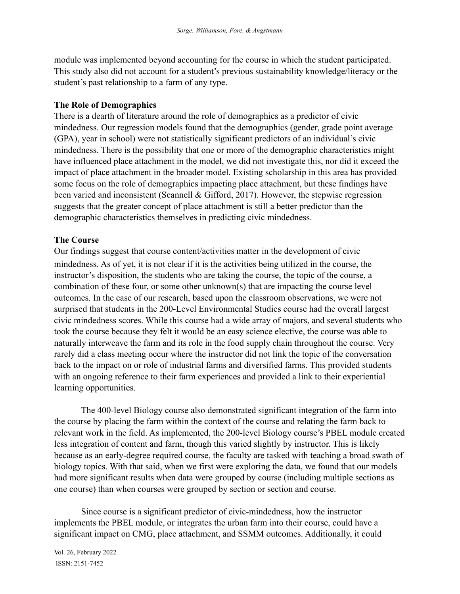module was implemented beyond accounting for the course in which the student participated. This study also did not account for a student's previous sustainability knowledge/literacy or the student's past relationship to a farm of any type.

## **The Role of Demographics**

There is a dearth of literature around the role of demographics as a predictor of civic mindedness. Our regression models found that the demographics (gender, grade point average (GPA), year in school) were not statistically significant predictors of an individual's civic mindedness. There is the possibility that one or more of the demographic characteristics might have influenced place attachment in the model, we did not investigate this, nor did it exceed the impact of place attachment in the broader model. Existing scholarship in this area has provided some focus on the role of demographics impacting place attachment, but these findings have been varied and inconsistent (Scannell & Gifford, 2017). However, the stepwise regression suggests that the greater concept of place attachment is still a better predictor than the demographic characteristics themselves in predicting civic mindedness.

## **The Course**

Our findings suggest that course content/activities matter in the development of civic mindedness. As of yet, it is not clear if it is the activities being utilized in the course, the instructor's disposition, the students who are taking the course, the topic of the course, a combination of these four, or some other unknown(s) that are impacting the course level outcomes. In the case of our research, based upon the classroom observations, we were not surprised that students in the 200-Level Environmental Studies course had the overall largest civic mindedness scores. While this course had a wide array of majors, and several students who took the course because they felt it would be an easy science elective, the course was able to naturally interweave the farm and its role in the food supply chain throughout the course. Very rarely did a class meeting occur where the instructor did not link the topic of the conversation back to the impact on or role of industrial farms and diversified farms. This provided students with an ongoing reference to their farm experiences and provided a link to their experiential learning opportunities.

The 400-level Biology course also demonstrated significant integration of the farm into the course by placing the farm within the context of the course and relating the farm back to relevant work in the field. As implemented, the 200-level Biology course's PBEL module created less integration of content and farm, though this varied slightly by instructor. This is likely because as an early-degree required course, the faculty are tasked with teaching a broad swath of biology topics. With that said, when we first were exploring the data, we found that our models had more significant results when data were grouped by course (including multiple sections as one course) than when courses were grouped by section or section and course.

Since course is a significant predictor of civic-mindedness, how the instructor implements the PBEL module, or integrates the urban farm into their course, could have a significant impact on CMG, place attachment, and SSMM outcomes. Additionally, it could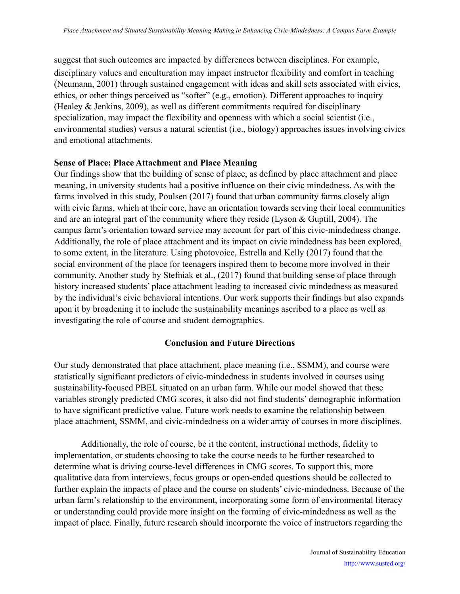suggest that such outcomes are impacted by differences between disciplines. For example, disciplinary values and enculturation may impact instructor flexibility and comfort in teaching (Neumann, 2001) through sustained engagement with ideas and skill sets associated with civics, ethics, or other things perceived as "softer" (e.g., emotion). Different approaches to inquiry (Healey & Jenkins, 2009), as well as different commitments required for disciplinary specialization, may impact the flexibility and openness with which a social scientist (i.e., environmental studies) versus a natural scientist (i.e., biology) approaches issues involving civics and emotional attachments.

#### **Sense of Place: Place Attachment and Place Meaning**

Our findings show that the building of sense of place, as defined by place attachment and place meaning, in university students had a positive influence on their civic mindedness. As with the farms involved in this study, Poulsen (2017) found that urban community farms closely align with civic farms, which at their core, have an orientation towards serving their local communities and are an integral part of the community where they reside (Lyson & Guptill, 2004). The campus farm's orientation toward service may account for part of this civic-mindedness change. Additionally, the role of place attachment and its impact on civic mindedness has been explored, to some extent, in the literature. Using photovoice, Estrella and Kelly (2017) found that the social environment of the place for teenagers inspired them to become more involved in their community. Another study by Stefniak et al., (2017) found that building sense of place through history increased students' place attachment leading to increased civic mindedness as measured by the individual's civic behavioral intentions. Our work supports their findings but also expands upon it by broadening it to include the sustainability meanings ascribed to a place as well as investigating the role of course and student demographics.

#### **Conclusion and Future Directions**

Our study demonstrated that place attachment, place meaning (i.e., SSMM), and course were statistically significant predictors of civic-mindedness in students involved in courses using sustainability-focused PBEL situated on an urban farm. While our model showed that these variables strongly predicted CMG scores, it also did not find students' demographic information to have significant predictive value. Future work needs to examine the relationship between place attachment, SSMM, and civic-mindedness on a wider array of courses in more disciplines.

Additionally, the role of course, be it the content, instructional methods, fidelity to implementation, or students choosing to take the course needs to be further researched to determine what is driving course-level differences in CMG scores. To support this, more qualitative data from interviews, focus groups or open-ended questions should be collected to further explain the impacts of place and the course on students' civic-mindedness. Because of the urban farm's relationship to the environment, incorporating some form of environmental literacy or understanding could provide more insight on the forming of civic-mindedness as well as the impact of place. Finally, future research should incorporate the voice of instructors regarding the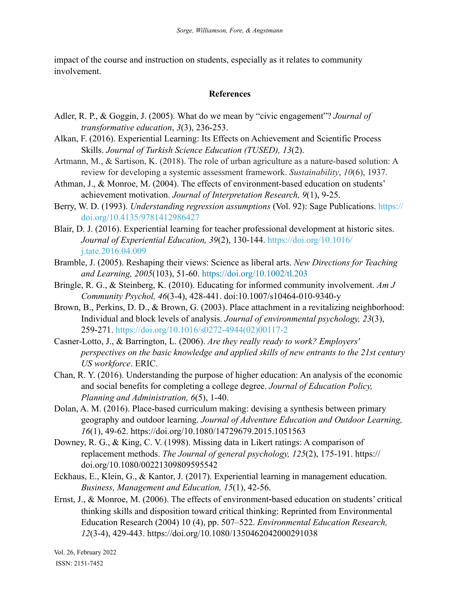impact of the course and instruction on students, especially as it relates to community involvement.

## **References**

- Adler, R. P., & Goggin, J. (2005). What do we mean by "civic engagement"? *Journal of transformative education*, *3*(3), 236-253.
- Alkan, F. (2016). Experiential Learning: Its Effects on Achievement and Scientific Process Skills. *Journal of Turkish Science Education (TUSED), 13*(2).
- Artmann, M., & Sartison, K. (2018). The role of urban agriculture as a nature-based solution: A review for developing a systemic assessment framework. *Sustainability*, *10*(6), 1937.
- Athman, J., & Monroe, M. (2004). The effects of environment-based education on students' achievement motivation. *Journal of Interpretation Research, 9*(1), 9-25.
- Berry, W. D. (1993). *Understanding regression assumptions* (Vol. 92): Sage Publications. [https://](https://doi.org/10.4135/9781412986427) [doi.org/10.4135/9781412986427](https://doi.org/10.4135/9781412986427)
- Blair, D. J. (2016). Experiential learning for teacher professional development at historic sites. *Journal of Experiential Education, 39*(2), 130-144. [https://doi.org/10.1016/](https://doi.org/10.1016/j.tate.2016.04.009) [j.tate.2016.04.009](https://doi.org/10.1016/j.tate.2016.04.009)
- Bramble, J. (2005). Reshaping their views: Science as liberal arts. *New Directions for Teaching and Learning, 2005*(103), 51-60. <https://doi.org/10.1002/tl.203>
- Bringle, R. G., & Steinberg, K. (2010). Educating for informed community involvement. *Am J Community Psychol, 46*(3-4), 428-441. doi:10.1007/s10464-010-9340-y
- Brown, B., Perkins, D. D., & Brown, G. (2003). Place attachment in a revitalizing neighborhood: Individual and block levels of analysis. *Journal of environmental psychology, 23*(3), 259-271. [https://doi.org/10.1016/s0272-4944\(02\)00117-2](https://doi.org/10.1016/s0272-4944(02)00117-2)
- Casner-Lotto, J., & Barrington, L. (2006). *Are they really ready to work? Employers' perspectives on the basic knowledge and applied skills of new entrants to the 21st century US workforce*. ERIC.
- Chan, R. Y. (2016). Understanding the purpose of higher education: An analysis of the economic and social benefits for completing a college degree. *Journal of Education Policy, Planning and Administration, 6*(5), 1-40.
- Dolan, A. M. (2016). Place-based curriculum making: devising a synthesis between primary geography and outdoor learning. *Journal of Adventure Education and Outdoor Learning, 16*(1), 49-62. https://doi.org/10.1080/14729679.2015.1051563
- Downey, R. G., & King, C. V. (1998). Missing data in Likert ratings: A comparison of replacement methods. *The Journal of general psychology, 125*(2), 175-191. https:// doi.org/10.1080/00221309809595542
- Eckhaus, E., Klein, G., & Kantor, J. (2017). Experiential learning in management education. *Business, Management and Education, 15*(1), 42-56.
- Ernst, J., & Monroe, M. (2006). The effects of environment-based education on students' critical thinking skills and disposition toward critical thinking: Reprinted from Environmental Education Research (2004) 10 (4), pp. 507–522. *Environmental Education Research, 12*(3-4), 429-443. https://doi.org/10.1080/1350462042000291038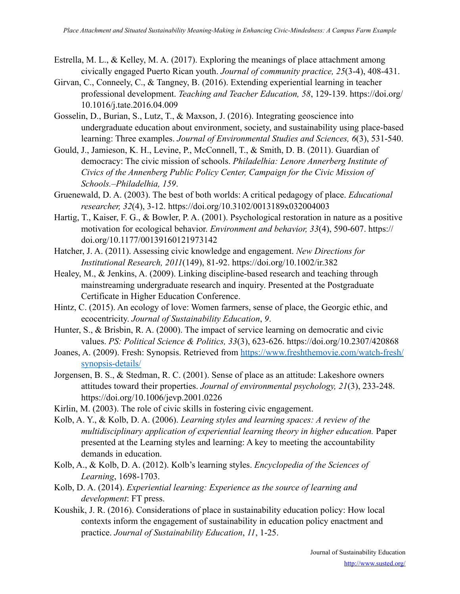- Estrella, M. L., & Kelley, M. A. (2017). Exploring the meanings of place attachment among civically engaged Puerto Rican youth. *Journal of community practice, 25*(3-4), 408-431.
- Girvan, C., Conneely, C., & Tangney, B. (2016). Extending experiential learning in teacher professional development. *Teaching and Teacher Education, 58*, 129-139. [https://doi.org/](https://doi.org/10.1016/j.tate.2016.04.009) [10.1016/j.tate.2016.04.009](https://doi.org/10.1016/j.tate.2016.04.009)
- Gosselin, D., Burian, S., Lutz, T., & Maxson, J. (2016). Integrating geoscience into undergraduate education about environment, society, and sustainability using place-based learning: Three examples. *Journal of Environmental Studies and Sciences, 6*(3), 531-540.
- Gould, J., Jamieson, K. H., Levine, P., McConnell, T., & Smith, D. B. (2011). Guardian of democracy: The civic mission of schools. *Philadelhia: Lenore Annerberg Institute of Civics of the Annenberg Public Policy Center, Campaign for the Civic Mission of Schools.–Philadelhia, 159*.
- Gruenewald, D. A. (2003). The best of both worlds: A critical pedagogy of place. *Educational researcher, 32*(4), 3-12. https://doi.org/10.3102/0013189x032004003
- Hartig, T., Kaiser, F. G., & Bowler, P. A. (2001). Psychological restoration in nature as a positive motivation for ecological behavior. *Environment and behavior, 33*(4), 590-607. https:// doi.org/10.1177/00139160121973142
- Hatcher, J. A. (2011). Assessing civic knowledge and engagement. *New Directions for Institutional Research, 2011*(149), 81-92. https://doi.org/10.1002/ir.382
- Healey, M., & Jenkins, A. (2009). Linking discipline-based research and teaching through mainstreaming undergraduate research and inquiry. Presented at the Postgraduate Certificate in Higher Education Conference.
- Hintz, C. (2015). An ecology of love: Women farmers, sense of place, the Georgic ethic, and ecocentricity. *Journal of Sustainability Education*, *9*.
- Hunter, S., & Brisbin, R. A. (2000). The impact of service learning on democratic and civic values. *PS: Political Science & Politics, 33*(3), 623-626. https://doi.org/10.2307/420868
- Joanes, A. (2009). Fresh: Synopsis. Retrieved from [https://www.freshthemovie.com/watch-fresh/](https://www.freshthemovie.com/watch-fresh/synopsis-details/) [synopsis-details/](https://www.freshthemovie.com/watch-fresh/synopsis-details/)
- Jorgensen, B. S., & Stedman, R. C. (2001). Sense of place as an attitude: Lakeshore owners attitudes toward their properties. *Journal of environmental psychology, 21*(3), 233-248. https://doi.org/10.1006/jevp.2001.0226
- Kirlin, M. (2003). The role of civic skills in fostering civic engagement.
- Kolb, A. Y., & Kolb, D. A. (2006). *Learning styles and learning spaces: A review of the multidisciplinary application of experiential learning theory in higher education.* Paper presented at the Learning styles and learning: A key to meeting the accountability demands in education.
- Kolb, A., & Kolb, D. A. (2012). Kolb's learning styles. *Encyclopedia of the Sciences of Learning*, 1698-1703.
- Kolb, D. A. (2014). *Experiential learning: Experience as the source of learning and development*: FT press.
- Koushik, J. R. (2016). Considerations of place in sustainability education policy: How local contexts inform the engagement of sustainability in education policy enactment and practice. *Journal of Sustainability Education*, *11*, 1-25.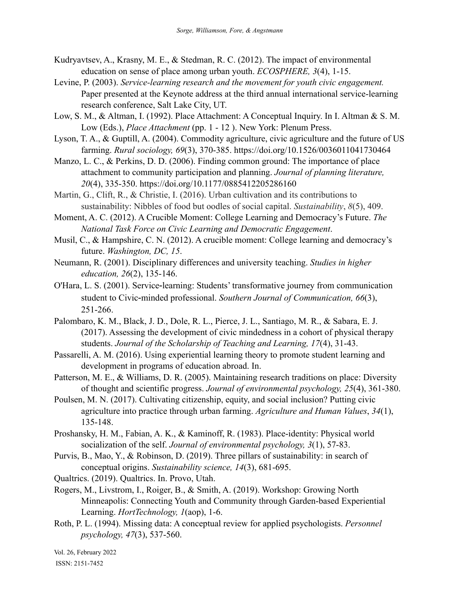- Kudryavtsev, A., Krasny, M. E., & Stedman, R. C. (2012). The impact of environmental education on sense of place among urban youth. *ECOSPHERE, 3*(4), 1-15.
- Levine, P. (2003). *Service-learning research and the movement for youth civic engagement.* Paper presented at the Keynote address at the third annual international service-learning research conference, Salt Lake City, UT.
- Low, S. M., & Altman, I. (1992). Place Attachment: A Conceptual Inquiry. In I. Altman & S. M. Low (Eds.), *Place Attachment* (pp. 1 - 12 ). New York: Plenum Press.
- Lyson, T. A., & Guptill, A. (2004). Commodity agriculture, civic agriculture and the future of US farming. *Rural sociology, 69*(3), 370-385. https://doi.org/10.1526/0036011041730464
- Manzo, L. C., & Perkins, D. D. (2006). Finding common ground: The importance of place attachment to community participation and planning. *Journal of planning literature, 20*(4), 335-350. https://doi.org/10.1177/0885412205286160
- Martin, G., Clift, R., & Christie, I. (2016). Urban cultivation and its contributions to sustainability: Nibbles of food but oodles of social capital. *Sustainability*, *8*(5), 409.
- Moment, A. C. (2012). A Crucible Moment: College Learning and Democracy's Future. *The National Task Force on Civic Learning and Democratic Engagement*.
- Musil, C., & Hampshire, C. N. (2012). A crucible moment: College learning and democracy's future. *Washington, DC, 15*.
- Neumann, R. (2001). Disciplinary differences and university teaching. *Studies in higher education, 26*(2), 135-146.
- O'Hara, L. S. (2001). Service-learning: Students' transformative journey from communication student to Civic-minded professional. *Southern Journal of Communication*, 66(3), 251-266.
- Palombaro, K. M., Black, J. D., Dole, R. L., Pierce, J. L., Santiago, M. R., & Sabara, E. J. (2017). Assessing the development of civic mindedness in a cohort of physical therapy students. *Journal of the Scholarship of Teaching and Learning, 17*(4), 31-43.
- Passarelli, A. M. (2016). Using experiential learning theory to promote student learning and development in programs of education abroad. In.
- Patterson, M. E., & Williams, D. R. (2005). Maintaining research traditions on place: Diversity of thought and scientific progress. *Journal of environmental psychology, 25*(4), 361-380.
- Poulsen, M. N. (2017). Cultivating citizenship, equity, and social inclusion? Putting civic agriculture into practice through urban farming. *Agriculture and Human Values*, *34*(1), 135-148.
- Proshansky, H. M., Fabian, A. K., & Kaminoff, R. (1983). Place-identity: Physical world socialization of the self. *Journal of environmental psychology, 3*(1), 57-83.
- Purvis, B., Mao, Y., & Robinson, D. (2019). Three pillars of sustainability: in search of conceptual origins. *Sustainability science, 14*(3), 681-695.
- Qualtrics. (2019). Qualtrics. In. Provo, Utah.
- Rogers, M., Livstrom, I., Roiger, B., & Smith, A. (2019). Workshop: Growing North Minneapolis: Connecting Youth and Community through Garden-based Experiential Learning. *HortTechnology, 1*(aop), 1-6.
- Roth, P. L. (1994). Missing data: A conceptual review for applied psychologists. *Personnel psychology, 47*(3), 537-560.

Vol. 26, February 2022 ISSN: 2151-7452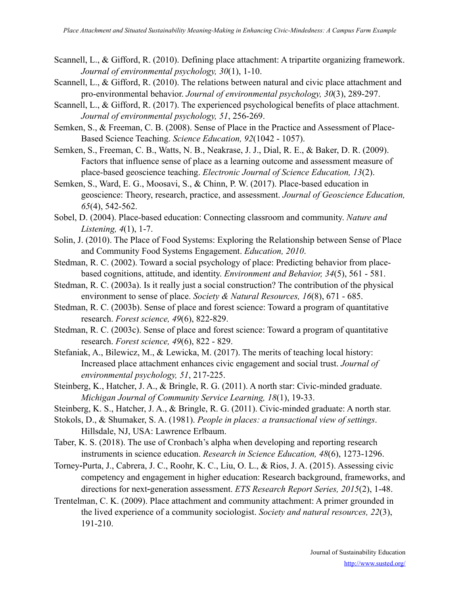- Scannell, L., & Gifford, R. (2010). Defining place attachment: A tripartite organizing framework. *Journal of environmental psychology, 30*(1), 1-10.
- Scannell, L., & Gifford, R. (2010). The relations between natural and civic place attachment and pro-environmental behavior. *Journal of environmental psychology, 30*(3), 289-297.
- Scannell, L., & Gifford, R. (2017). The experienced psychological benefits of place attachment. *Journal of environmental psychology, 51*, 256-269.
- Semken, S., & Freeman, C. B. (2008). Sense of Place in the Practice and Assessment of Place-Based Science Teaching. *Science Education, 92*(1042 - 1057).
- Semken, S., Freeman, C. B., Watts, N. B., Neakrase, J. J., Dial, R. E., & Baker, D. R. (2009). Factors that influence sense of place as a learning outcome and assessment measure of place-based geoscience teaching. *Electronic Journal of Science Education, 13*(2).
- Semken, S., Ward, E. G., Moosavi, S., & Chinn, P. W. (2017). Place-based education in geoscience: Theory, research, practice, and assessment. *Journal of Geoscience Education, 65*(4), 542-562.
- Sobel, D. (2004). Place-based education: Connecting classroom and community. *Nature and Listening, 4*(1), 1-7.
- Solin, J. (2010). The Place of Food Systems: Exploring the Relationship between Sense of Place and Community Food Systems Engagement. *Education, 2010*.
- Stedman, R. C. (2002). Toward a social psychology of place: Predicting behavior from placebased cognitions, attitude, and identity. *Environment and Behavior, 34*(5), 561 - 581.
- Stedman, R. C. (2003a). Is it really just a social construction? The contribution of the physical environment to sense of place. *Society & Natural Resources, 16*(8), 671 - 685.
- Stedman, R. C. (2003b). Sense of place and forest science: Toward a program of quantitative research. *Forest science, 49*(6), 822-829.
- Stedman, R. C. (2003c). Sense of place and forest science: Toward a program of quantitative research. *Forest science, 49*(6), 822 - 829.
- Stefaniak, A., Bilewicz, M., & Lewicka, M. (2017). The merits of teaching local history: Increased place attachment enhances civic engagement and social trust. *Journal of environmental psychology, 51*, 217-225.
- Steinberg, K., Hatcher, J. A., & Bringle, R. G. (2011). A north star: Civic-minded graduate. *Michigan Journal of Community Service Learning, 18*(1), 19-33.
- Steinberg, K. S., Hatcher, J. A., & Bringle, R. G. (2011). Civic-minded graduate: A north star.
- Stokols, D., & Shumaker, S. A. (1981). *People in places: a transactional view of settings*. Hillsdale, NJ, USA: Lawrence Erlbaum.
- Taber, K. S. (2018). The use of Cronbach's alpha when developing and reporting research instruments in science education. *Research in Science Education, 48*(6), 1273-1296.
- Torney-Purta, J., Cabrera, J. C., Roohr, K. C., Liu, O. L., & Rios, J. A. (2015). Assessing civic competency and engagement in higher education: Research background, frameworks, and directions for next-generation assessment. *ETS Research Report Series*, 2015(2), 1-48.
- Trentelman, C. K. (2009). Place attachment and community attachment: A primer grounded in the lived experience of a community sociologist. *Society and natural resources, 22*(3), 191-210.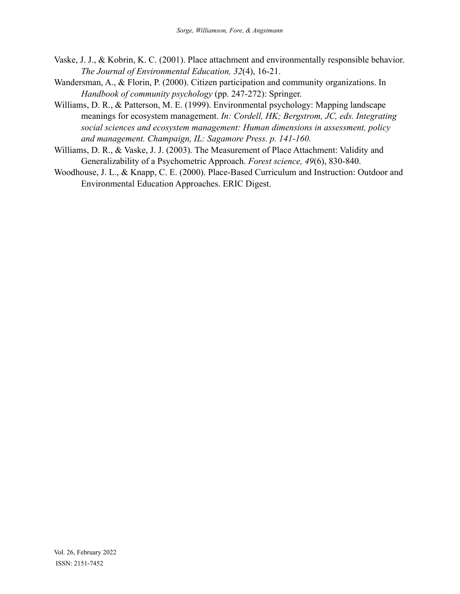- Vaske, J. J., & Kobrin, K. C. (2001). Place attachment and environmentally responsible behavior. *The Journal of Environmental Education, 32*(4), 16-21.
- Wandersman, A., & Florin, P. (2000). Citizen participation and community organizations. In *Handbook of community psychology* (pp. 247-272): Springer.
- Williams, D. R., & Patterson, M. E. (1999). Environmental psychology: Mapping landscape meanings for ecosystem management. *In: Cordell, HK; Bergstrom, JC, eds. Integrating social sciences and ecosystem management: Human dimensions in assessment, policy and management. Champaign, IL: Sagamore Press. p. 141-160.*
- Williams, D. R., & Vaske, J. J. (2003). The Measurement of Place Attachment: Validity and Generalizability of a Psychometric Approach. *Forest science, 49*(6), 830-840.
- Woodhouse, J. L., & Knapp, C. E. (2000). Place-Based Curriculum and Instruction: Outdoor and Environmental Education Approaches. ERIC Digest.